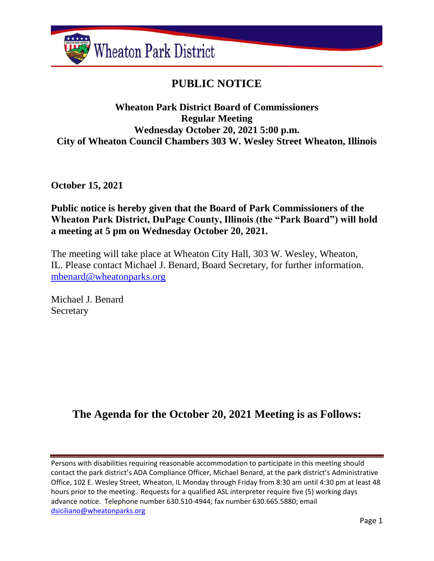

# **PUBLIC NOTICE**

# **Wheaton Park District Board of Commissioners Regular Meeting Wednesday October 20, 2021 5:00 p.m. City of Wheaton Council Chambers 303 W. Wesley Street Wheaton, Illinois**

**October 15, 2021**

# **Public notice is hereby given that the Board of Park Commissioners of the Wheaton Park District, DuPage County, Illinois (the "Park Board") will hold a meeting at 5 pm on Wednesday October 20, 2021.**

The meeting will take place at Wheaton City Hall, 303 W. Wesley, Wheaton, IL. Please contact Michael J. Benard, Board Secretary, for further information. [mbenard@wheatonparks.org](mailto:mbenard@wheatonparks.org)

Michael J. Benard Secretary

# **The Agenda for the October 20, 2021 Meeting is as Follows:**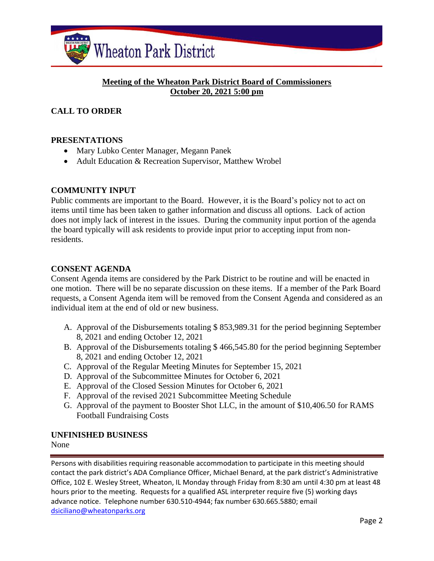

# **Meeting of the Wheaton Park District Board of Commissioners October 20, 2021 5:00 pm**

# **CALL TO ORDER**

#### **PRESENTATIONS**

- Mary Lubko Center Manager, Megann Panek
- Adult Education & Recreation Supervisor, Matthew Wrobel

# **COMMUNITY INPUT**

Public comments are important to the Board. However, it is the Board's policy not to act on items until time has been taken to gather information and discuss all options. Lack of action does not imply lack of interest in the issues. During the community input portion of the agenda the board typically will ask residents to provide input prior to accepting input from nonresidents.

#### **CONSENT AGENDA**

Consent Agenda items are considered by the Park District to be routine and will be enacted in one motion. There will be no separate discussion on these items. If a member of the Park Board requests, a Consent Agenda item will be removed from the Consent Agenda and considered as an individual item at the end of old or new business.

- A. Approval of the Disbursements totaling \$ 853,989.31 for the period beginning September 8, 2021 and ending October 12, 2021
- B. Approval of the Disbursements totaling \$ 466,545.80 for the period beginning September 8, 2021 and ending October 12, 2021
- C. Approval of the Regular Meeting Minutes for September 15, 2021
- D. Approval of the Subcommittee Minutes for October 6, 2021
- E. Approval of the Closed Session Minutes for October 6, 2021
- F. Approval of the revised 2021 Subcommittee Meeting Schedule
- G. Approval of the payment to Booster Shot LLC, in the amount of \$10,406.50 for RAMS Football Fundraising Costs

#### **UNFINISHED BUSINESS**

None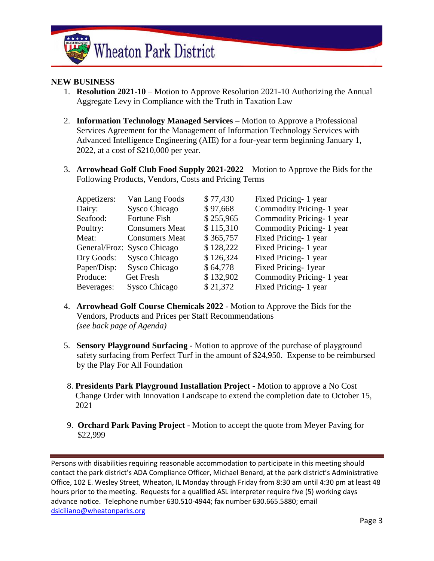

#### **NEW BUSINESS**

- 1. **Resolution 2021-10** Motion to Approve Resolution 2021-10 Authorizing the Annual Aggregate Levy in Compliance with the Truth in Taxation Law
- 2. **Information Technology Managed Services** Motion to Approve a Professional Services Agreement for the Management of Information Technology Services with Advanced Intelligence Engineering (AIE) for a four-year term beginning January 1, 2022, at a cost of \$210,000 per year.
- 3. **Arrowhead Golf Club Food Supply 2021-2022** Motion to Approve the Bids for the Following Products, Vendors, Costs and Pricing Terms

| Appetizers: | Van Lang Foods              | \$77,430  | Fixed Pricing- 1 year    |
|-------------|-----------------------------|-----------|--------------------------|
| Dairy:      | Sysco Chicago               | \$97,668  | Commodity Pricing-1 year |
| Seafood:    | Fortune Fish                | \$255,965 | Commodity Pricing-1 year |
| Poultry:    | <b>Consumers Meat</b>       | \$115,310 | Commodity Pricing-1 year |
| Meat:       | <b>Consumers Meat</b>       | \$365,757 | Fixed Pricing- 1 year    |
|             | General/Froz: Sysco Chicago | \$128,222 | Fixed Pricing- 1 year    |
| Dry Goods:  | Sysco Chicago               | \$126,324 | Fixed Pricing- 1 year    |
| Paper/Disp: | Sysco Chicago               | \$64,778  | Fixed Pricing-1year      |
| Produce:    | <b>Get Fresh</b>            | \$132,902 | Commodity Pricing-1 year |
| Beverages:  | Sysco Chicago               | \$21,372  | Fixed Pricing-1 year     |

- 4. **Arrowhead Golf Course Chemicals 2022** Motion to Approve the Bids for the Vendors, Products and Prices per Staff Recommendations *(see back page of Agenda)*
- 5. **Sensory Playground Surfacing** Motion to approve of the purchase of playground safety surfacing from Perfect Turf in the amount of \$24,950. Expense to be reimbursed by the Play For All Foundation
- 8. **Presidents Park Playground Installation Project** Motion to approve a No Cost Change Order with Innovation Landscape to extend the completion date to October 15, 2021
- 9. **Orchard Park Paving Project** Motion to accept the quote from Meyer Paving for \$22,999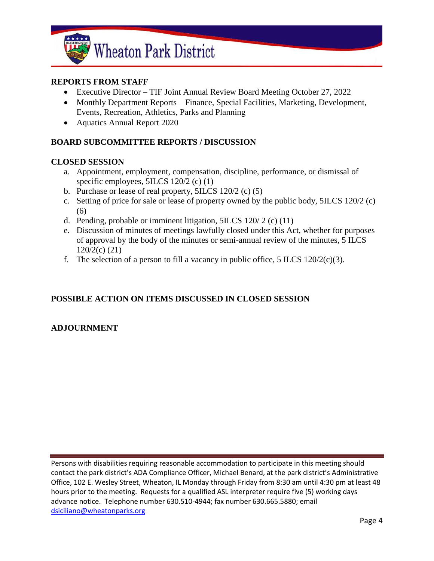

### **REPORTS FROM STAFF**

- Executive Director TIF Joint Annual Review Board Meeting October 27, 2022
- Monthly Department Reports Finance, Special Facilities, Marketing, Development, Events, Recreation, Athletics, Parks and Planning
- Aquatics Annual Report 2020

# **BOARD SUBCOMMITTEE REPORTS / DISCUSSION**

#### **CLOSED SESSION**

- a. Appointment, employment, compensation, discipline, performance, or dismissal of specific employees, 5ILCS 120/2 (c) (1)
- b. Purchase or lease of real property, 5ILCS 120/2 (c) (5)
- c. Setting of price for sale or lease of property owned by the public body, 5ILCS 120/2 (c) (6)
- d. Pending, probable or imminent litigation,  $5ILCS 120/2$  (c) (11)
- e. Discussion of minutes of meetings lawfully closed under this Act, whether for purposes of approval by the body of the minutes or semi-annual review of the minutes, 5 ILCS 120/2(c) (21)
- f. The selection of a person to fill a vacancy in public office, 5 ILCS  $120/2(c)(3)$ .

# **POSSIBLE ACTION ON ITEMS DISCUSSED IN CLOSED SESSION**

# **ADJOURNMENT**